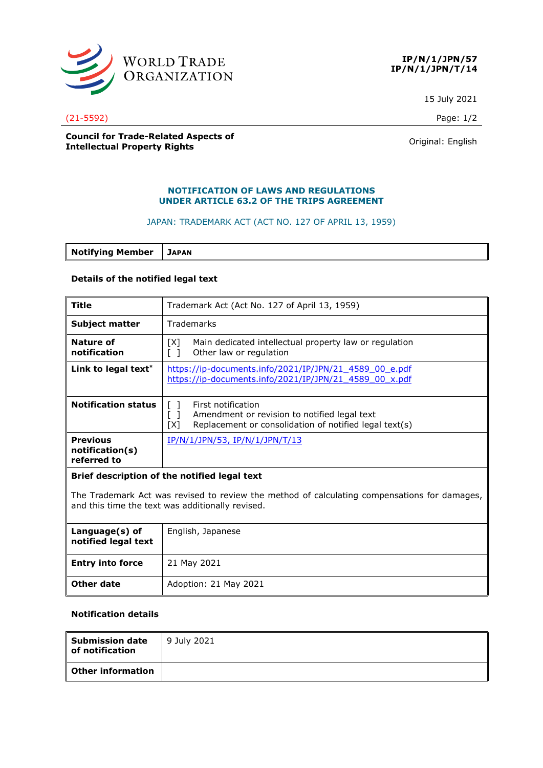



15 July 2021

#### (21-5592) Page: 1/2

### **Council for Trade-Related Aspects of COUNCIL TOP ITAGE-RELATED ASPECTS OF A COUNTER SERVICE CONTROL**<br> **Intellectual Property Rights** Counter of American Counter of American Counter of American Counter of American Counter of American Counter of American Count

# **NOTIFICATION OF LAWS AND REGULATIONS UNDER ARTICLE 63.2 OF THE TRIPS AGREEMENT**

#### JAPAN: TRADEMARK ACT (ACT NO. 127 OF APRIL 13, 1959)

**Notifying Member JAPAN**

### **Details of the notified legal text**

| <b>Title</b>                                                                                                                                     | Trademark Act (Act No. 127 of April 13, 1959)                                                                                                     |  |
|--------------------------------------------------------------------------------------------------------------------------------------------------|---------------------------------------------------------------------------------------------------------------------------------------------------|--|
| <b>Subject matter</b>                                                                                                                            | Trademarks                                                                                                                                        |  |
| Nature of<br>notification                                                                                                                        | Main dedicated intellectual property law or regulation<br>[X]<br>Other law or regulation                                                          |  |
| Link to legal text*                                                                                                                              | https://ip-documents.info/2021/IP/JPN/21 4589 00 e.pdf<br>https://ip-documents.info/2021/IP/JPN/21<br>4589 00 x.pdf                               |  |
| <b>Notification status</b>                                                                                                                       | First notification<br>$\lceil$ 1<br>Amendment or revision to notified legal text<br>Replacement or consolidation of notified legal text(s)<br>[X] |  |
| <b>Previous</b><br>notification(s)<br>referred to                                                                                                | <u>IP/N/1/JPN/53, IP/N/1/JPN/T/13</u>                                                                                                             |  |
| Brief description of the notified legal text                                                                                                     |                                                                                                                                                   |  |
| The Trademark Act was revised to review the method of calculating compensations for damages,<br>and this time the text was additionally revised. |                                                                                                                                                   |  |
| Language(s) of<br>notified legal text                                                                                                            | English, Japanese                                                                                                                                 |  |

| notified legal text     |                       |
|-------------------------|-----------------------|
| <b>Entry into force</b> | 21 May 2021           |
| Other date              | Adoption: 21 May 2021 |

## **Notification details**

| <b>Submission date</b><br>of notification | 9 July 2021 |
|-------------------------------------------|-------------|
| <b>Other information</b>                  |             |